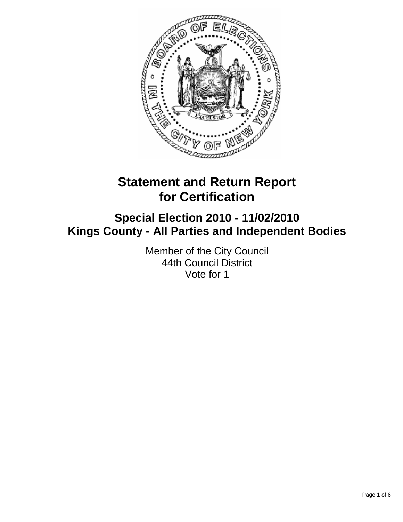

# **Statement and Return Report for Certification**

## **Special Election 2010 - 11/02/2010 Kings County - All Parties and Independent Bodies**

Member of the City Council 44th Council District Vote for 1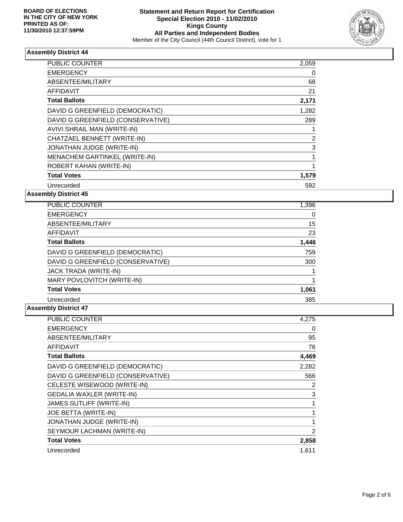

### **Assembly District 44**

| PUBLIC COUNTER                    | 2,059 |
|-----------------------------------|-------|
| <b>EMERGENCY</b>                  | 0     |
| ABSENTEE/MILITARY                 | 68    |
| <b>AFFIDAVIT</b>                  | 21    |
| <b>Total Ballots</b>              | 2,171 |
| DAVID G GREENFIELD (DEMOCRATIC)   | 1,282 |
| DAVID G GREENFIELD (CONSERVATIVE) | 289   |
| AVIVI SHRAIL MAN (WRITE-IN)       |       |
| CHATZAEL BENNETT (WRITE-IN)       | 2     |
| JONATHAN JUDGE (WRITE-IN)         | 3     |
| MENACHEM GARTINKEL (WRITE-IN)     |       |
| ROBERT KAHAN (WRITE-IN)           |       |
| <b>Total Votes</b>                | 1,579 |
| Unrecorded                        | 592   |

**Assembly District 45** 

| <b>PUBLIC COUNTER</b>             | 1,396 |
|-----------------------------------|-------|
| <b>EMERGENCY</b>                  | 0     |
| ABSENTEE/MILITARY                 | 15    |
| <b>AFFIDAVIT</b>                  | 23    |
| <b>Total Ballots</b>              | 1,446 |
| DAVID G GREENFIELD (DEMOCRATIC)   | 759   |
| DAVID G GREENFIELD (CONSERVATIVE) | 300   |
| <b>JACK TRADA (WRITE-IN)</b>      |       |
| MARY POVLOVITCH (WRITE-IN)        |       |
| <b>Total Votes</b>                | 1,061 |
| Unrecorded                        | 385   |

### **Assembly District 47**

| <b>PUBLIC COUNTER</b>             | 4.275          |
|-----------------------------------|----------------|
| <b>EMERGENCY</b>                  | 0              |
| ABSENTEE/MILITARY                 | 95             |
| <b>AFFIDAVIT</b>                  | 76             |
| <b>Total Ballots</b>              | 4,469          |
| DAVID G GREENFIELD (DEMOCRATIC)   | 2,282          |
| DAVID G GREENFIELD (CONSERVATIVE) | 566            |
| CELESTE WISEWOOD (WRITE-IN)       | 2              |
| <b>GEDALIA WAXLER (WRITE-IN)</b>  | 3              |
| JAMES SUTLIFF (WRITE-IN)          | 1              |
| <b>JOE BETTA (WRITE-IN)</b>       |                |
| JONATHAN JUDGE (WRITE-IN)         | 1              |
| SEYMOUR LACHMAN (WRITE-IN)        | $\mathfrak{p}$ |
| <b>Total Votes</b>                | 2,858          |
| Unrecorded                        | 1,611          |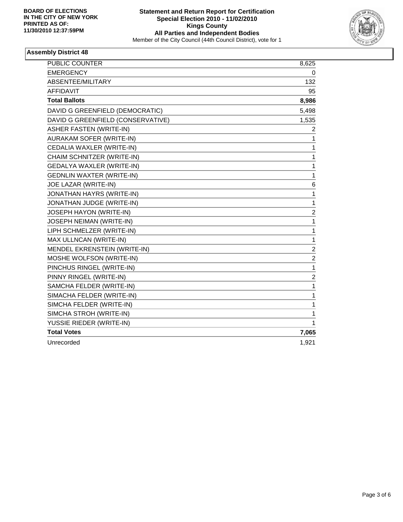

## **Assembly District 48**

| <b>PUBLIC COUNTER</b>             | 8,625                   |
|-----------------------------------|-------------------------|
| <b>EMERGENCY</b>                  | 0                       |
| ABSENTEE/MILITARY                 | 132                     |
| <b>AFFIDAVIT</b>                  | 95                      |
| <b>Total Ballots</b>              | 8,986                   |
| DAVID G GREENFIELD (DEMOCRATIC)   | 5,498                   |
| DAVID G GREENFIELD (CONSERVATIVE) | 1,535                   |
| <b>ASHER FASTEN (WRITE-IN)</b>    | 2                       |
| AURAKAM SOFER (WRITE-IN)          | 1                       |
| CEDALIA WAXLER (WRITE-IN)         | 1                       |
| CHAIM SCHNITZER (WRITE-IN)        | 1                       |
| GEDALYA WAXLER (WRITE-IN)         | 1                       |
| <b>GEDNLIN WAXTER (WRITE-IN)</b>  | 1                       |
| JOE LAZAR (WRITE-IN)              | 6                       |
| JONATHAN HAYRS (WRITE-IN)         | 1                       |
| JONATHAN JUDGE (WRITE-IN)         | $\mathbf 1$             |
| <b>JOSEPH HAYON (WRITE-IN)</b>    | $\overline{c}$          |
| JOSEPH NEIMAN (WRITE-IN)          | 1                       |
| LIPH SCHMELZER (WRITE-IN)         | $\mathbf 1$             |
| MAX ULLNCAN (WRITE-IN)            | 1                       |
| MENDEL EKRENSTEIN (WRITE-IN)      | $\boldsymbol{2}$        |
| MOSHE WOLFSON (WRITE-IN)          | $\overline{\mathbf{c}}$ |
| PINCHUS RINGEL (WRITE-IN)         | $\mathbf{1}$            |
| PINNY RINGEL (WRITE-IN)           | $\overline{\mathbf{c}}$ |
| SAMCHA FELDER (WRITE-IN)          | 1                       |
| SIMACHA FELDER (WRITE-IN)         | 1                       |
| SIMCHA FELDER (WRITE-IN)          | 1                       |
| SIMCHA STROH (WRITE-IN)           | 1                       |
| YUSSIE RIEDER (WRITE-IN)          | 1                       |
| <b>Total Votes</b>                | 7,065                   |
| Unrecorded                        | 1,921                   |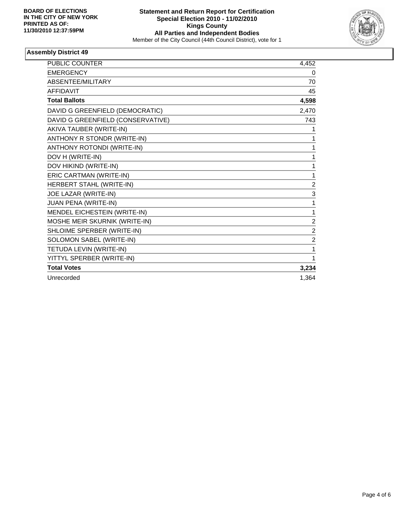

## **Assembly District 49**

| <b>PUBLIC COUNTER</b>             | 4,452          |
|-----------------------------------|----------------|
| <b>EMERGENCY</b>                  | 0              |
| ABSENTEE/MILITARY                 | 70             |
| <b>AFFIDAVIT</b>                  | 45             |
| <b>Total Ballots</b>              | 4,598          |
| DAVID G GREENFIELD (DEMOCRATIC)   | 2,470          |
| DAVID G GREENFIELD (CONSERVATIVE) | 743            |
| AKIVA TAUBER (WRITE-IN)           |                |
| ANTHONY R STONDR (WRITE-IN)       | 1              |
| ANTHONY ROTONDI (WRITE-IN)        | 1              |
| DOV H (WRITE-IN)                  | 1              |
| DOV HIKIND (WRITE-IN)             | 1              |
| ERIC CARTMAN (WRITE-IN)           | 1              |
| HERBERT STAHL (WRITE-IN)          | 2              |
| JOE LAZAR (WRITE-IN)              | 3              |
| JUAN PENA (WRITE-IN)              | 1              |
| MENDEL EICHESTEIN (WRITE-IN)      | 1              |
| MOSHE MEIR SKURNIK (WRITE-IN)     | $\overline{c}$ |
| SHLOIME SPERBER (WRITE-IN)        | $\overline{2}$ |
| SOLOMON SABEL (WRITE-IN)          | $\overline{c}$ |
| TETUDA LEVIN (WRITE-IN)           | 1              |
| YITTYL SPERBER (WRITE-IN)         |                |
| <b>Total Votes</b>                | 3,234          |
| Unrecorded                        | 1,364          |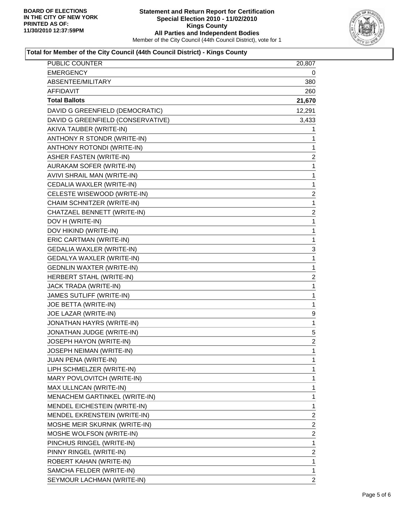

### **Total for Member of the City Council (44th Council District) - Kings County**

| PUBLIC COUNTER                    | 20,807                  |
|-----------------------------------|-------------------------|
| <b>EMERGENCY</b>                  | 0                       |
| ABSENTEE/MILITARY                 | 380                     |
| <b>AFFIDAVIT</b>                  | 260                     |
| <b>Total Ballots</b>              | 21,670                  |
| DAVID G GREENFIELD (DEMOCRATIC)   | 12,291                  |
| DAVID G GREENFIELD (CONSERVATIVE) | 3,433                   |
| AKIVA TAUBER (WRITE-IN)           | 1                       |
| ANTHONY R STONDR (WRITE-IN)       | 1                       |
| ANTHONY ROTONDI (WRITE-IN)        | $\mathbf{1}$            |
| <b>ASHER FASTEN (WRITE-IN)</b>    | $\overline{c}$          |
| AURAKAM SOFER (WRITE-IN)          | 1                       |
| AVIVI SHRAIL MAN (WRITE-IN)       | $\mathbf 1$             |
| CEDALIA WAXLER (WRITE-IN)         | $\mathbf 1$             |
| CELESTE WISEWOOD (WRITE-IN)       | $\boldsymbol{2}$        |
| CHAIM SCHNITZER (WRITE-IN)        | $\mathbf 1$             |
| CHATZAEL BENNETT (WRITE-IN)       | $\boldsymbol{2}$        |
| DOV H (WRITE-IN)                  | 1                       |
| DOV HIKIND (WRITE-IN)             | $\mathbf 1$             |
| ERIC CARTMAN (WRITE-IN)           | 1                       |
| <b>GEDALIA WAXLER (WRITE-IN)</b>  | 3                       |
| GEDALYA WAXLER (WRITE-IN)         | $\mathbf{1}$            |
| <b>GEDNLIN WAXTER (WRITE-IN)</b>  | $\mathbf 1$             |
| HERBERT STAHL (WRITE-IN)          | $\overline{\mathbf{c}}$ |
| JACK TRADA (WRITE-IN)             | $\mathbf 1$             |
| JAMES SUTLIFF (WRITE-IN)          | $\mathbf 1$             |
| JOE BETTA (WRITE-IN)              | 1                       |
| JOE LAZAR (WRITE-IN)              | 9                       |
| JONATHAN HAYRS (WRITE-IN)         | 1                       |
| JONATHAN JUDGE (WRITE-IN)         | 5                       |
| JOSEPH HAYON (WRITE-IN)           | $\overline{\mathbf{c}}$ |
| JOSEPH NEIMAN (WRITE-IN)          | 1                       |
| <b>JUAN PENA (WRITE-IN)</b>       | 1                       |
| LIPH SCHMELZER (WRITE-IN)         | 1                       |
| MARY POVLOVITCH (WRITE-IN)        | 1                       |
| MAX ULLNCAN (WRITE-IN)            | 1                       |
| MENACHEM GARTINKEL (WRITE-IN)     | 1                       |
| MENDEL EICHESTEIN (WRITE-IN)      | 1                       |
| MENDEL EKRENSTEIN (WRITE-IN)      | $\overline{\mathbf{c}}$ |
| MOSHE MEIR SKURNIK (WRITE-IN)     | $\boldsymbol{2}$        |
| MOSHE WOLFSON (WRITE-IN)          | $\boldsymbol{2}$        |
| PINCHUS RINGEL (WRITE-IN)         | 1                       |
| PINNY RINGEL (WRITE-IN)           | $\boldsymbol{2}$        |
| ROBERT KAHAN (WRITE-IN)           | 1                       |
| SAMCHA FELDER (WRITE-IN)          | 1                       |
| SEYMOUR LACHMAN (WRITE-IN)        | 2                       |